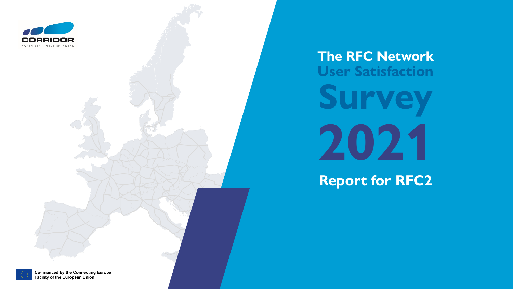

# **The RFC Network User Satisfaction Survey 2021**

**Report for RFC2**



Co-financed by the Connecting Europe Facility of the European Union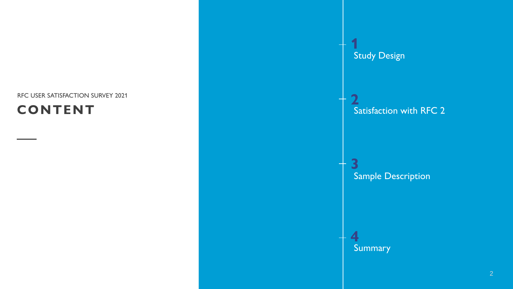#### RFC USER SATISFACTION SURVEY 2021

#### **CONTENT**

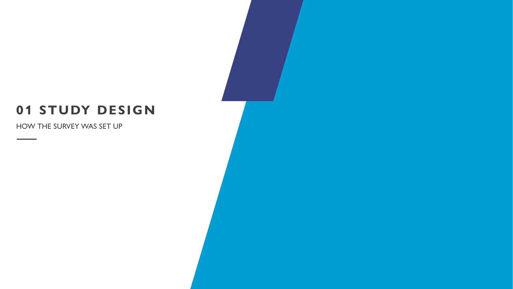#### **01 STUDY DESIGN**

HOW THE SURVEY WAS SET UP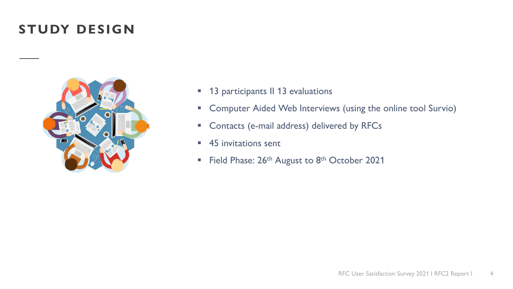#### **STUDY DESIGN**



- **13 participants II 13 evaluations**
- **E** Computer Aided Web Interviews (using the online tool Survio)
- **EX Contacts (e-mail address) delivered by RFCs**
- 45 invitations sent
- Field Phase:  $26<sup>th</sup>$  August to  $8<sup>th</sup>$  October 2021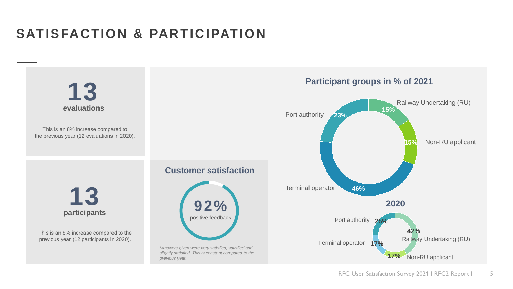# **SATISFACTION & PARTICIPATION**

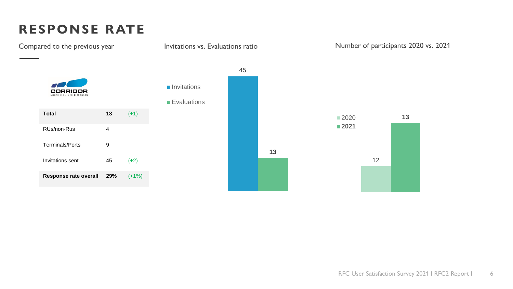# **RESPONSE RATE**

Compared to the previous year 45 **Invitations CORRIDOR Evaluations Total 13** (+1) 2020 **13 2021** RUs/non-Rus 4 Terminals/Ports 9 **13** 12 Invitations sent  $45$   $(+2)$ **Response rate overall 29%** (+1%)

Invitations vs. Evaluations ratio Number of participants 2020 vs. 2021

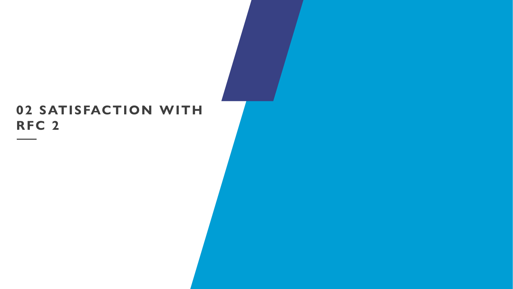#### **02 SATISFACTION WITH RFC 2**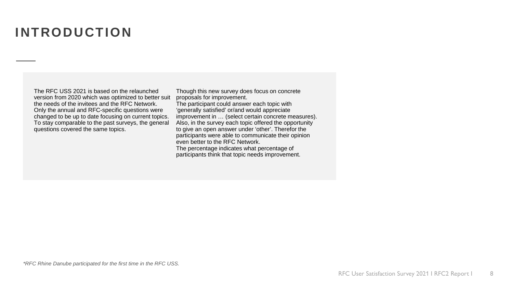#### **INTRODUCTION**

The RFC USS 2021 is based on the relaunched version from 2020 which was optimized to better suit the needs of the invitees and the RFC Network. Only the annual and RFC-specific questions were changed to be up to date focusing on current topics. To stay comparable to the past surveys, the general questions covered the same topics.

Though this new survey does focus on concrete proposals for improvement. The participant could answer each topic with 'generally satisfied' or/and would appreciate improvement in … (select certain concrete measures). Also, in the survey each topic offered the opportunity to give an open answer under 'other'. Therefor the participants were able to communicate their opinion even better to the RFC Network. The percentage indicates what percentage of participants think that topic needs improvement.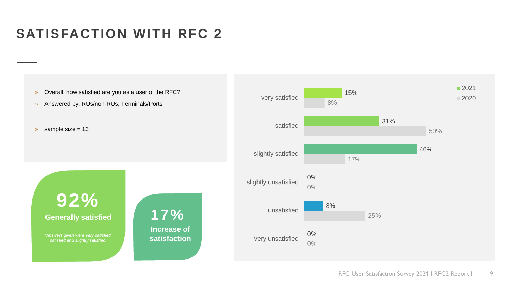### **SATISFACTION WITH RFC 2**

- » Overall, how satisfied are you as a user of the RFC?
- » Answered by: RUs/non-RUs, Terminals/Ports
- $\gg$  sample size = 13



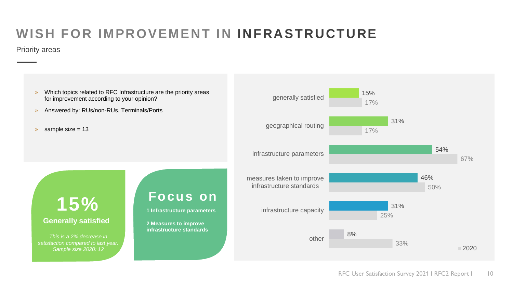# **WISH FOR IMPROVEMENT IN INFRASTRUCTURE**

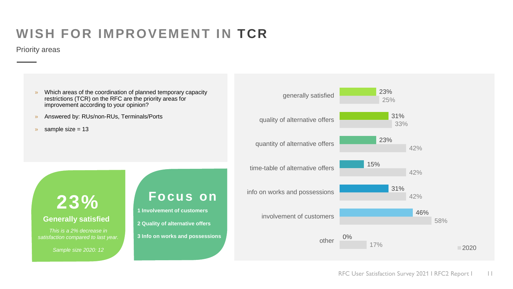## **WISH FOR IMPROVEMENT IN TCR**

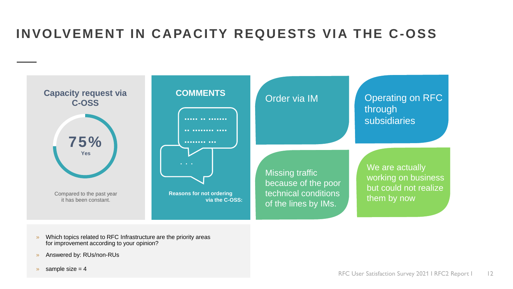## **INVOLVEMENT IN CAPACITY REQUESTS VIA THE C-OSS**



- » Which topics related to RFC Infrastructure are the priority areas for improvement according to your opinion?
- » Answered by: RUs/non-RUs
- $\gg$  sample size = 4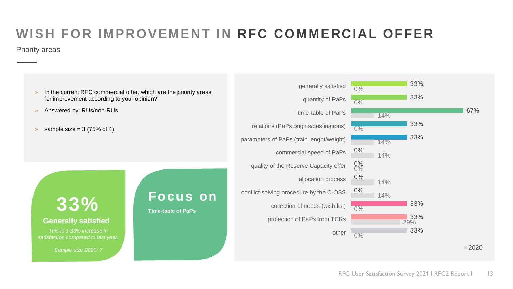# **WISH FOR IMPROVEMENT IN RFC COMMERCIAL OFFER**

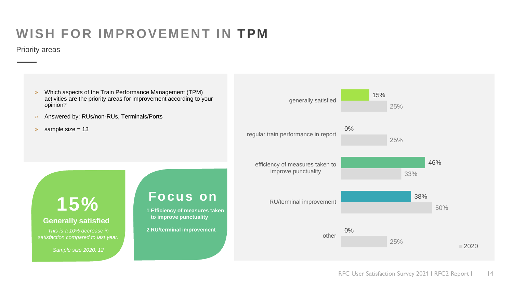### **WISH FOR IMPROVEMENT IN TPM**

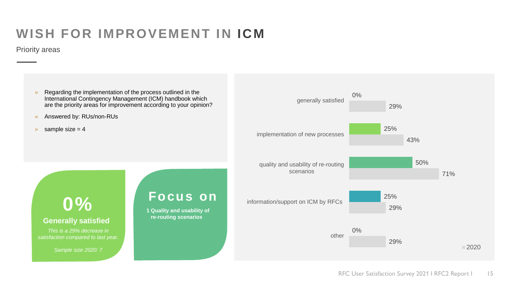### **WISH FOR IMPROVEMENT IN ICM**

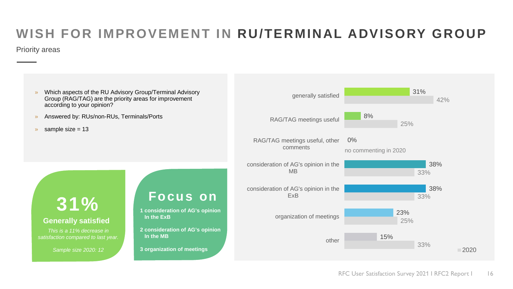# **WISH FOR IMPROVEMENT IN RU/TERMINAL ADVISORY GROUP**

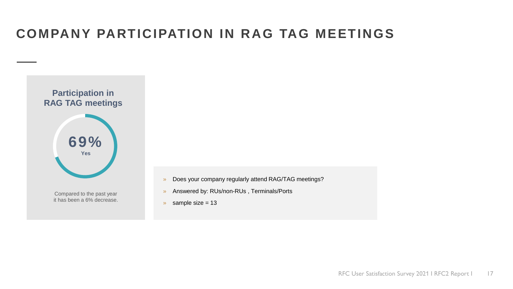### **COMPANY PARTICIPATION IN RAG TAG MEETINGS**



- » Does your company regularly attend RAG/TAG meetings?
- » Answered by: RUs/non-RUs , Terminals/Ports
- $\sqrt{ }$  sample size = 13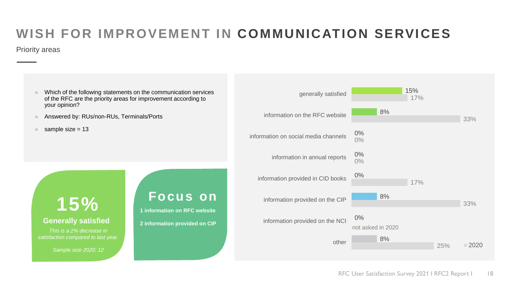# **WISH FOR IMPROVEMENT IN COMMUNICATION SERVICES**

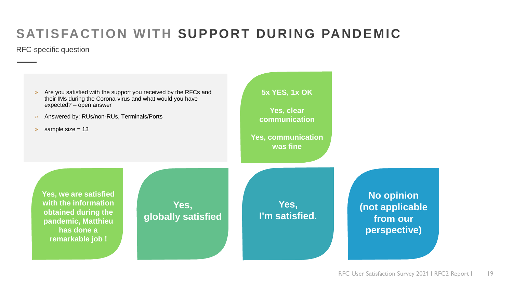# **SATISFACTION WITH SUPPORT DURING PANDEMIC**

RFC-specific question

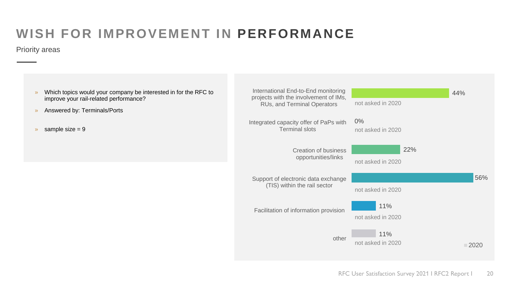# **WISH FOR IMPROVEMENT IN PERFORMANCE**

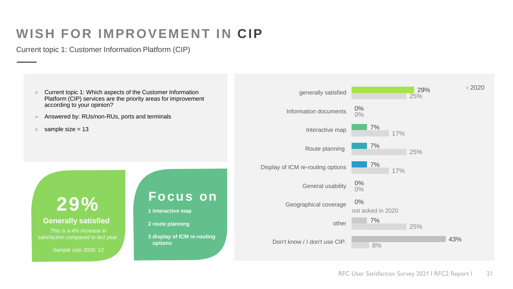#### **WISH FOR IMPROVEMENT IN CIP**

Current topic 1: Customer Information Platform (CIP)

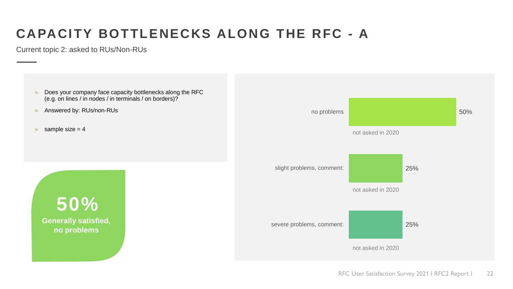# **CAPACITY BOTTLENECKS ALONG THE RFC - A**

Current topic 2: asked to RUs/Non-RUs

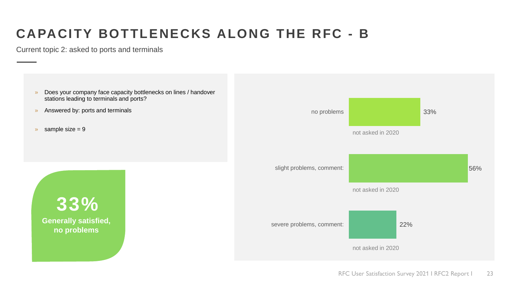# **CAPACITY BOTTLENECKS ALONG THE RFC - B**

Current topic 2: asked to ports and terminals

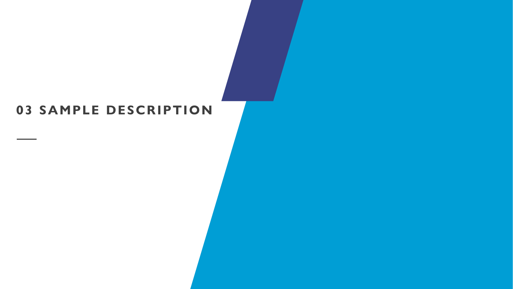#### **03 SAMPLE DESCRIPTION**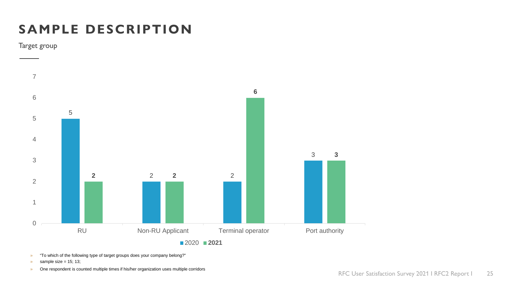# **SAMPLE DESCRIPTION**

Target group



» "To which of the following type of target groups does your company belong?"

- sample size = 15; 13;
- » One respondent is counted multiple times if his/her organization uses multiple corridors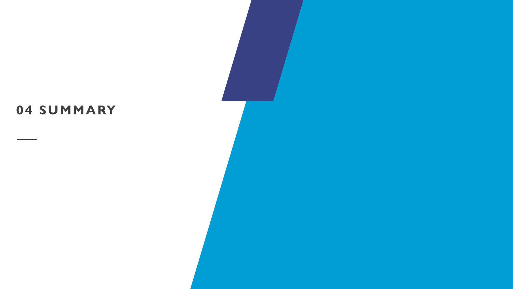# **04 SUMMARY**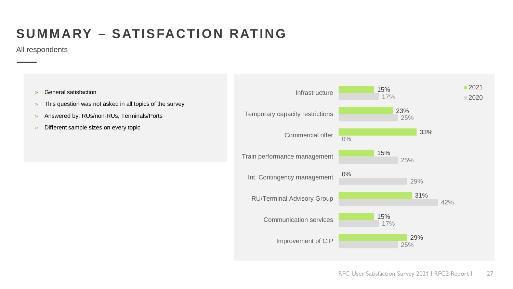# **SUMMARY – SATISFACTION RATING**

All respondents

- 
- » This question was not asked in all topics of the survey
- » Answered by: RUs/non-RUs, Terminals/Ports
- » Different sample sizes on every topic

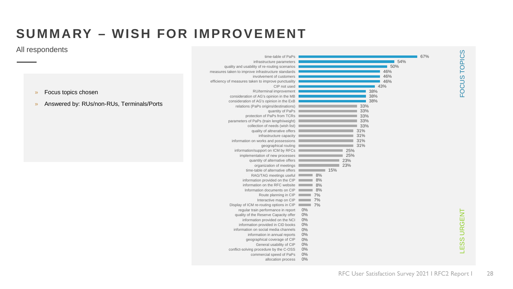#### **SUMMARY – WISH FOR IMPROVEMENT**

#### All respondents

» Focus topics chosen